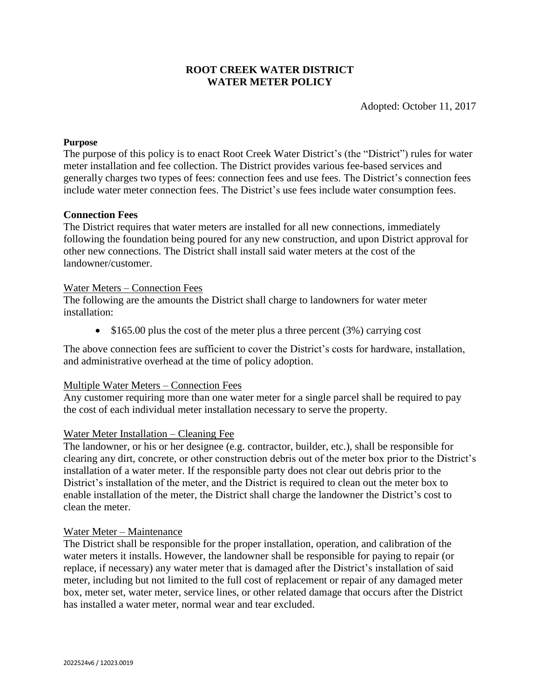## **ROOT CREEK WATER DISTRICT WATER METER POLICY**

Adopted: October 11, 2017

## **Purpose**

The purpose of this policy is to enact Root Creek Water District's (the "District") rules for water meter installation and fee collection. The District provides various fee-based services and generally charges two types of fees: connection fees and use fees. The District's connection fees include water meter connection fees. The District's use fees include water consumption fees.

## **Connection Fees**

The District requires that water meters are installed for all new connections, immediately following the foundation being poured for any new construction, and upon District approval for other new connections. The District shall install said water meters at the cost of the landowner/customer.

## Water Meters – Connection Fees

The following are the amounts the District shall charge to landowners for water meter installation:

 $\bullet$  \$165.00 plus the cost of the meter plus a three percent (3%) carrying cost

The above connection fees are sufficient to cover the District's costs for hardware, installation, and administrative overhead at the time of policy adoption.

## Multiple Water Meters – Connection Fees

Any customer requiring more than one water meter for a single parcel shall be required to pay the cost of each individual meter installation necessary to serve the property.

## Water Meter Installation – Cleaning Fee

The landowner, or his or her designee (e.g. contractor, builder, etc.), shall be responsible for clearing any dirt, concrete, or other construction debris out of the meter box prior to the District's installation of a water meter. If the responsible party does not clear out debris prior to the District's installation of the meter, and the District is required to clean out the meter box to enable installation of the meter, the District shall charge the landowner the District's cost to clean the meter.

## Water Meter – Maintenance

The District shall be responsible for the proper installation, operation, and calibration of the water meters it installs. However, the landowner shall be responsible for paying to repair (or replace, if necessary) any water meter that is damaged after the District's installation of said meter, including but not limited to the full cost of replacement or repair of any damaged meter box, meter set, water meter, service lines, or other related damage that occurs after the District has installed a water meter, normal wear and tear excluded.